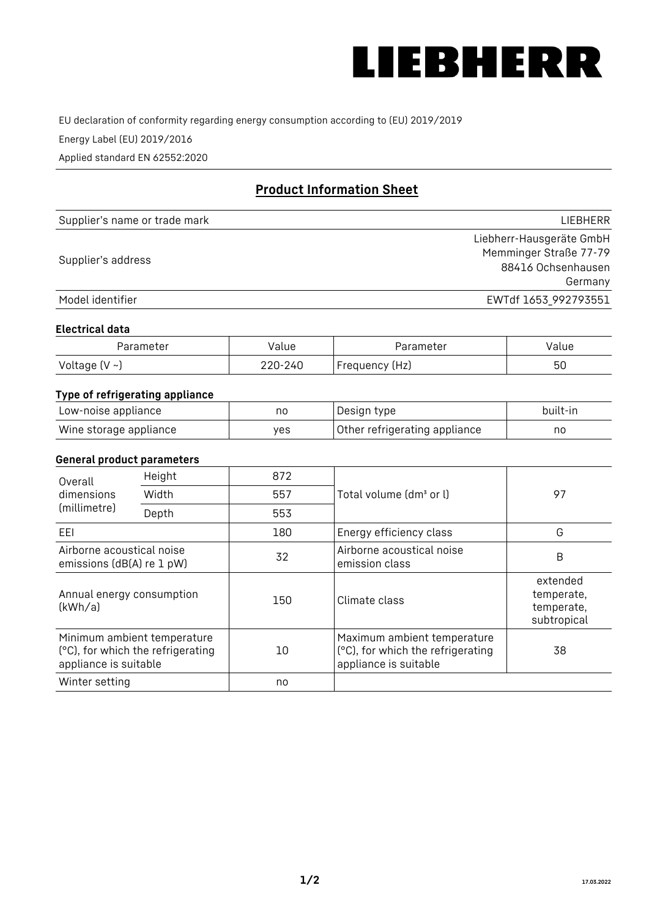

EU declaration of conformity regarding energy consumption according to (EU) 2019/2019

Energy Label (EU) 2019/2016

Applied standard EN 62552:2020

# **Product Information Sheet**

| Supplier's name or trade mark | LIEBHERR                 |
|-------------------------------|--------------------------|
|                               | Liebherr-Hausgeräte GmbH |
| Supplier's address            | Memminger Straße 77-79   |
|                               | 88416 Ochsenhausen       |
|                               | Germany                  |
| Model identifier              | EWTdf 1653_992793551     |

#### **Electrical data**

| Parameter          | Value   | Parameter      | value |
|--------------------|---------|----------------|-------|
| Voltage $(V \sim)$ | 220-240 | Frequency (Hz) | 50    |

# **Type of refrigerating appliance**

| Low-noise appliance    | no  | Design type                   | built-in |
|------------------------|-----|-------------------------------|----------|
| Wine storage appliance | ves | Other refrigerating appliance | nc       |

### **General product parameters**

| Height<br>Overall                                                                         |       | 872 |                                                                                           |                                                     |
|-------------------------------------------------------------------------------------------|-------|-----|-------------------------------------------------------------------------------------------|-----------------------------------------------------|
| dimensions<br>(millimetre)                                                                | Width | 557 | Total volume (dm <sup>3</sup> or l)                                                       | 97                                                  |
|                                                                                           | Depth | 553 |                                                                                           |                                                     |
| EEL                                                                                       |       | 180 | Energy efficiency class                                                                   | G                                                   |
| Airborne acoustical noise<br>emissions (dB(A) re 1 pW)                                    |       | 32  | Airborne acoustical noise<br>emission class                                               | B                                                   |
| Annual energy consumption<br>(kWh/a)                                                      |       | 150 | Climate class                                                                             | extended<br>temperate,<br>temperate,<br>subtropical |
| Minimum ambient temperature<br>(°C), for which the refrigerating<br>appliance is suitable |       | 10  | Maximum ambient temperature<br>(°C), for which the refrigerating<br>appliance is suitable | 38                                                  |
| Winter setting                                                                            |       | no  |                                                                                           |                                                     |